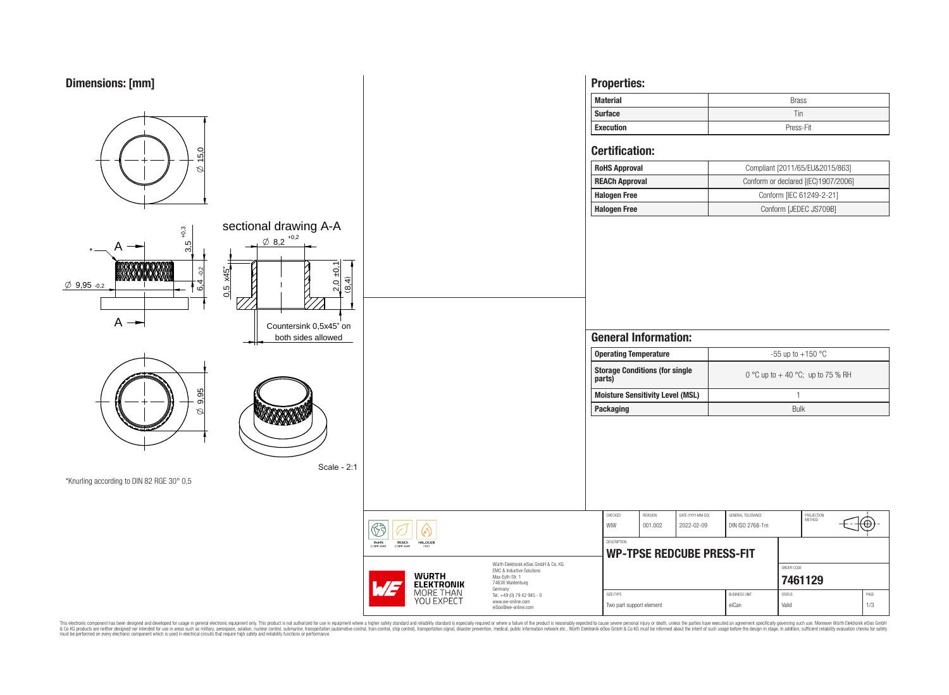



This electronic component has been designed and developed for usage in general electronic equipment only. This product is not authorized for subserved requipment where a higher selection equipment where a higher selection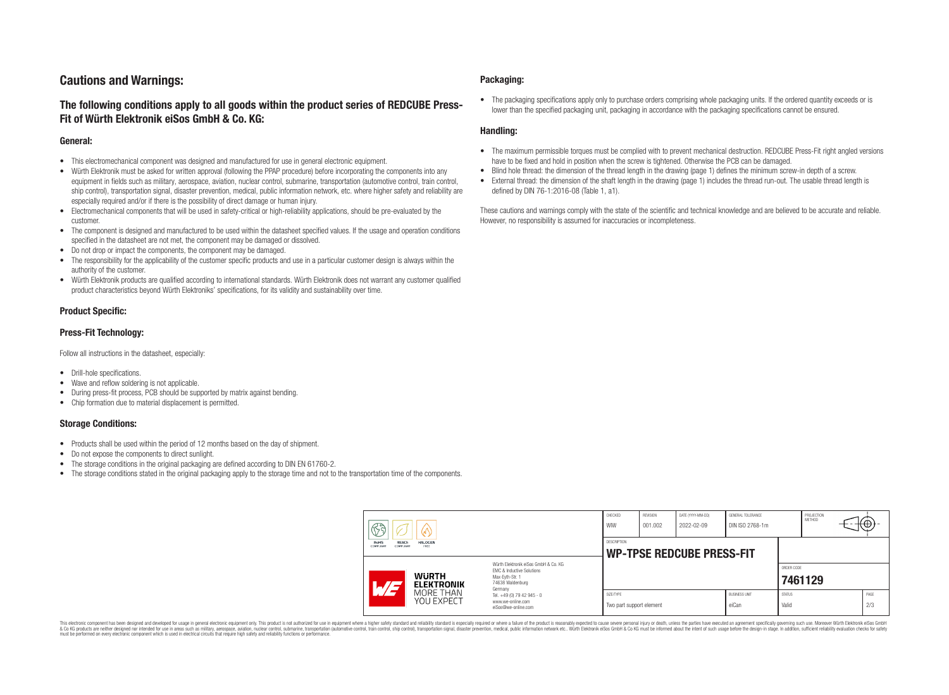# **Cautions and Warnings:**

# **The following conditions apply to all goods within the product series of REDCUBE Press-Fit of Würth Elektronik eiSos GmbH & Co. KG:**

### **General:**

- This electromechanical component was designed and manufactured for use in general electronic equipment.
- Würth Elektronik must be asked for written approval (following the PPAP procedure) before incorporating the components into any equipment in fields such as military, aerospace, aviation, nuclear control, submarine, transportation (automotive control, train control, ship control), transportation signal, disaster prevention, medical, public information network, etc. where higher safety and reliability are especially required and/or if there is the possibility of direct damage or human injury.
- Electromechanical components that will be used in safety-critical or high-reliability applications, should be pre-evaluated by the customer.
- The component is designed and manufactured to be used within the datasheet specified values. If the usage and operation conditions specified in the datasheet are not met, the component may be damaged or dissolved.
- Do not drop or impact the components, the component may be damaged.
- The responsibility for the applicability of the customer specific products and use in a particular customer design is always within the authority of the customer.
- Würth Elektronik products are qualified according to international standards. Würth Elektronik does not warrant any customer qualified product characteristics beyond Würth Elektroniks' specifications, for its validity and sustainability over time.

### **Product Specific:**

### **Press-Fit Technology:**

Follow all instructions in the datasheet, especially:

- Drill-hole specifications.
- Wave and reflow soldering is not applicable.
- During press-fit process, PCB should be supported by matrix against bending.
- Chip formation due to material displacement is permitted.

### **Storage Conditions:**

- Products shall be used within the period of 12 months based on the day of shipment.
- Do not expose the components to direct sunlight.
- The storage conditions in the original packaging are defined according to DIN EN 61760-2.
- The storage conditions stated in the original packaging apply to the storage time and not to the transportation time of the components.

#### **Packaging:**

• The packaging specifications apply only to purchase orders comprising whole packaging units. If the ordered quantity exceeds or is lower than the specified packaging unit, packaging in accordance with the packaging specifications cannot be ensured.

### **Handling:**

- The maximum permissible torques must be complied with to prevent mechanical destruction. REDCUBE Press-Fit right angled versions have to be fixed and hold in position when the screw is tightened. Otherwise the PCB can be damaged.
- Blind hole thread: the dimension of the thread length in the drawing (page 1) defines the minimum screw-in depth of a screw.
- External thread: the dimension of the shaft length in the drawing (page 1) includes the thread run-out. The usable thread length is defined by DIN 76-1:2016-08 (Table 1, a1).

These cautions and warnings comply with the state of the scientific and technical knowledge and are believed to be accurate and reliable. However, no responsibility is assumed for inaccuracies or incompleteness.

| ଟ୍ଟି<br>RoHS<br><b>REACh</b><br><b>HALOGEN</b><br>COMPLIANT<br>ERFF<br>COMPLIANT |                                                                                                                     | CHECKED<br>WIW                                         | REVISION<br>001.002 | DATE (YYYY-MM-DD)<br>2022-02-09 | GENERAL TOLERANCE<br>DIN ISO 2768-1m |                        | PROJECTION<br><b>METHOD</b> |  | ι€Ψ         |
|----------------------------------------------------------------------------------|---------------------------------------------------------------------------------------------------------------------|--------------------------------------------------------|---------------------|---------------------------------|--------------------------------------|------------------------|-----------------------------|--|-------------|
|                                                                                  |                                                                                                                     | <b>DESCRIPTION</b><br><b>WP-TPSE REDCUBE PRESS-FIT</b> |                     |                                 |                                      |                        |                             |  |             |
| <b>WURTH</b><br>ATJ<br><b>ELEKTRONIK</b>                                         | Würth Elektronik eiSos GmbH & Co. KG<br>FMC & Inductive Solutions<br>Max-Eyth-Str. 1<br>74638 Waldenburg<br>Germany |                                                        |                     |                                 |                                      |                        | ORDER CODE<br>7461129       |  |             |
| MORE THAN<br>YOU EXPECT                                                          | Tel. +49 (0) 79 42 945 - 0<br>www.we-online.com<br>eiSos@we-online.com                                              | SIZE/TYPE<br>Two part support element                  |                     |                                 | <b>BUSINESS UNIT</b><br>eiCan        | <b>STATUS</b><br>Valid |                             |  | PAGE<br>2/3 |

This electronic component has been designed and developed for usage in general electronic equipment only. This product is not authorized for use in equipment where a higher safety standard and reliability standard si espec & Ook product a label and the membed of the seasuch as marked and as which such a membed and the such assume that income in the seasuch and the simulation and the such assume that include to the such a membed and the such